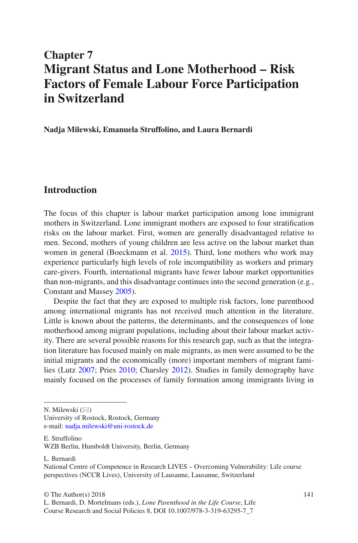# **Chapter 7 Migrant Status and Lone Motherhood – Risk Factors of Female Labour Force Participation in Switzerland**

**Nadja Milewski, Emanuela Struffolino, and Laura Bernardi**

## **Introduction**

The focus of this chapter is labour market participation among lone immigrant mothers in Switzerland. Lone immigrant mothers are exposed to four stratification risks on the labour market. First, women are generally disadvantaged relative to men. Second, mothers of young children are less active on the labour market than women in general (Boeckmann et al. [2015\)](#page-19-0). Third, lone mothers who work may experience particularly high levels of role incompatibility as workers and primary care-givers. Fourth, international migrants have fewer labour market opportunities than non-migrants, and this disadvantage continues into the second generation (e.g., Constant and Massey [2005\)](#page-20-0).

Despite the fact that they are exposed to multiple risk factors, lone parenthood among international migrants has not received much attention in the literature. Little is known about the patterns, the determinants, and the consequences of lone motherhood among migrant populations, including about their labour market activity. There are several possible reasons for this research gap, such as that the integration literature has focused mainly on male migrants, as men were assumed to be the initial migrants and the economically (more) important members of migrant families (Lutz [2007](#page-21-0); Pries [2010;](#page-21-1) Charsley [2012\)](#page-20-1). Studies in family demography have mainly focused on the processes of family formation among immigrants living in

N. Milewski  $(\boxtimes)$ 

University of Rostock, Rostock, Germany e-mail: [nadja.milewski@uni-rostock.de](mailto:nadja.milewski@uni-rostock.de)

E. Struffolino WZB Berlin, Humboldt University, Berlin, Germany

L. Bernardi

National Centre of Competence in Research LIVES – Overcoming Vulnerability: Life course perspectives (NCCR Lives), University of Lausanne, Lausanne, Switzerland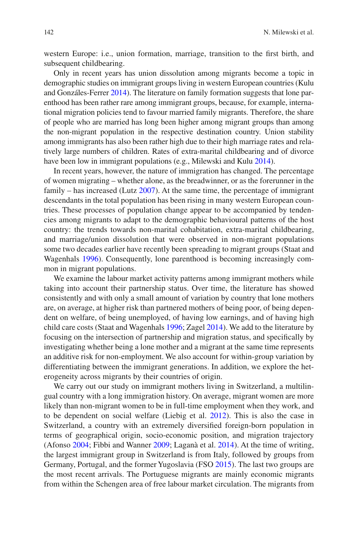western Europe: i.e., union formation, marriage, transition to the first birth, and subsequent childbearing.

Only in recent years has union dissolution among migrants become a topic in demographic studies on immigrant groups living in western European countries (Kulu and Gonzáles-Ferrer [2014\)](#page-20-2). The literature on family formation suggests that lone parenthood has been rather rare among immigrant groups, because, for example, international migration policies tend to favour married family migrants. Therefore, the share of people who are married has long been higher among migrant groups than among the non-migrant population in the respective destination country. Union stability among immigrants has also been rather high due to their high marriage rates and relatively large numbers of children. Rates of extra-marital childbearing and of divorce have been low in immigrant populations (e.g., Milewski and Kulu [2014](#page-21-2)).

In recent years, however, the nature of immigration has changed. The percentage of women migrating – whether alone, as the breadwinner, or as the forerunner in the family – has increased (Lutz [2007\)](#page-21-0). At the same time, the percentage of immigrant descendants in the total population has been rising in many western European countries. These processes of population change appear to be accompanied by tendencies among migrants to adapt to the demographic behavioural patterns of the host country: the trends towards non-marital cohabitation, extra-marital childbearing, and marriage/union dissolution that were observed in non-migrant populations some two decades earlier have recently been spreading to migrant groups (Staat and Wagenhals [1996\)](#page-21-3). Consequently, lone parenthood is becoming increasingly common in migrant populations.

We examine the labour market activity patterns among immigrant mothers while taking into account their partnership status. Over time, the literature has showed consistently and with only a small amount of variation by country that lone mothers are, on average, at higher risk than partnered mothers of being poor, of being dependent on welfare, of being unemployed, of having low earnings, and of having high child care costs (Staat and Wagenhals [1996](#page-21-3); Zagel [2014\)](#page-22-0). We add to the literature by focusing on the intersection of partnership and migration status, and specifically by investigating whether being a lone mother and a migrant at the same time represents an additive risk for non-employment. We also account for within-group variation by differentiating between the immigrant generations. In addition, we explore the heterogeneity across migrants by their countries of origin.

We carry out our study on immigrant mothers living in Switzerland, a multilingual country with a long immigration history. On average, migrant women are more likely than non-migrant women to be in full-time employment when they work, and to be dependent on social welfare (Liebig et al. [2012\)](#page-21-4). This is also the case in Switzerland, a country with an extremely diversified foreign-born population in terms of geographical origin, socio-economic position, and migration trajectory (Afonso [2004](#page-19-1); Fibbi and Wanner [2009](#page-20-3); Laganà et al. [2014\)](#page-20-4). At the time of writing, the largest immigrant group in Switzerland is from Italy, followed by groups from Germany, Portugal, and the former Yugoslavia (FSO [2015](#page-20-5)). The last two groups are the most recent arrivals. The Portuguese migrants are mainly economic migrants from within the Schengen area of free labour market circulation. The migrants from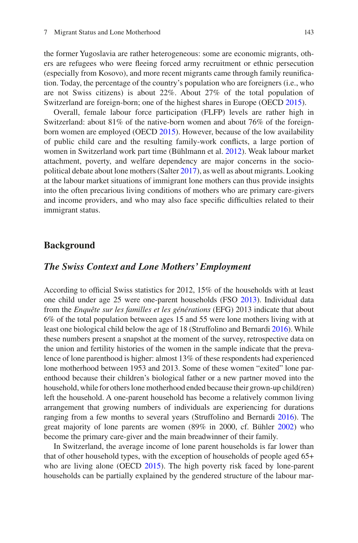the former Yugoslavia are rather heterogeneous: some are economic migrants, others are refugees who were fleeing forced army recruitment or ethnic persecution (especially from Kosovo), and more recent migrants came through family reunification. Today, the percentage of the country's population who are foreigners (i.e., who are not Swiss citizens) is about 22%. About 27% of the total population of Switzerland are foreign-born; one of the highest shares in Europe (OECD [2015\)](#page-21-5).

Overall, female labour force participation (FLFP) levels are rather high in Switzerland: about 81% of the native-born women and about 76% of the foreignborn women are employed (OECD [2015\)](#page-21-5). However, because of the low availability of public child care and the resulting family-work conflicts, a large portion of women in Switzerland work part time (Bühlmann et al. [2012\)](#page-20-6). Weak labour market attachment, poverty, and welfare dependency are major concerns in the sociopolitical debate about lone mothers (Salter [2017\)](#page-21-6), as well as about migrants. Looking at the labour market situations of immigrant lone mothers can thus provide insights into the often precarious living conditions of mothers who are primary care-givers and income providers, and who may also face specific difficulties related to their immigrant status.

#### **Background**

## *The Swiss Context and Lone Mothers' Employment*

According to official Swiss statistics for 2012, 15% of the households with at least one child under age 25 were one-parent households (FSO [2013](#page-20-7)). Individual data from the *Enquête sur les familles et les générations* (EFG) 2013 indicate that about 6% of the total population between ages 15 and 55 were lone mothers living with at least one biological child below the age of 18 (Struffolino and Bernardi [2016\)](#page-21-7). While these numbers present a snapshot at the moment of the survey, retrospective data on the union and fertility histories of the women in the sample indicate that the prevalence of lone parenthood is higher: almost 13% of these respondents had experienced lone motherhood between 1953 and 2013. Some of these women "exited" lone parenthood because their children's biological father or a new partner moved into the household, while for others lone motherhood ended because their grown-up child(ren) left the household. A one-parent household has become a relatively common living arrangement that growing numbers of individuals are experiencing for durations ranging from a few months to several years (Struffolino and Bernardi [2016](#page-21-7)). The great majority of lone parents are women (89% in 2000, cf. Bühler [2002\)](#page-20-8) who become the primary care-giver and the main breadwinner of their family.

In Switzerland, the average income of lone parent households is far lower than that of other household types, with the exception of households of people aged 65+ who are living alone (OECD [2015\)](#page-21-5). The high poverty risk faced by lone-parent households can be partially explained by the gendered structure of the labour mar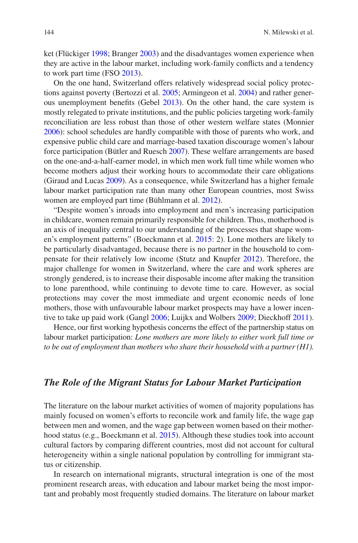ket (Flückiger [1998](#page-20-9); Branger [2003\)](#page-19-2) and the disadvantages women experience when they are active in the labour market, including work-family conflicts and a tendency to work part time (FSO [2013\)](#page-20-7).

On the one hand, Switzerland offers relatively widespread social policy protections against poverty (Bertozzi et al. [2005;](#page-19-3) Armingeon et al. [2004](#page-19-4)) and rather generous unemployment benefits (Gebel [2013\)](#page-20-10). On the other hand, the care system is mostly relegated to private institutions, and the public policies targeting work-family reconciliation are less robust than those of other western welfare states (Monnier [2006\)](#page-21-8): school schedules are hardly compatible with those of parents who work, and expensive public child care and marriage-based taxation discourage women's labour force participation (Bütler and Ruesch [2007](#page-20-11)). These welfare arrangements are based on the one-and-a-half-earner model, in which men work full time while women who become mothers adjust their working hours to accommodate their care obligations (Giraud and Lucas [2009\)](#page-20-12). As a consequence, while Switzerland has a higher female labour market participation rate than many other European countries, most Swiss women are employed part time (Bühlmann et al. [2012\)](#page-20-6).

"Despite women's inroads into employment and men's increasing participation in childcare, women remain primarily responsible for children. Thus, motherhood is an axis of inequality central to our understanding of the processes that shape women's employment patterns" (Boeckmann et al. [2015](#page-19-0): 2). Lone mothers are likely to be particularly disadvantaged, because there is no partner in the household to compensate for their relatively low income (Stutz and Knupfer [2012\)](#page-21-9). Therefore, the major challenge for women in Switzerland, where the care and work spheres are strongly gendered, is to increase their disposable income after making the transition to lone parenthood, while continuing to devote time to care. However, as social protections may cover the most immediate and urgent economic needs of lone mothers, those with unfavourable labour market prospects may have a lower incentive to take up paid work (Gangl [2006](#page-20-13); Luijkx and Wolbers [2009;](#page-21-10) Dieckhoff [2011\)](#page-20-14).

Hence, our first working hypothesis concerns the effect of the partnership status on labour market participation: *Lone mothers are more likely to either work full time or to be out of employment than mothers who share their household with a partner (H1).*

#### *The Role of the Migrant Status for Labour Market Participation*

The literature on the labour market activities of women of majority populations has mainly focused on women's efforts to reconcile work and family life, the wage gap between men and women, and the wage gap between women based on their motherhood status (e.g., Boeckmann et al. [2015\)](#page-19-0). Although these studies took into account cultural factors by comparing different countries, most did not account for cultural heterogeneity within a single national population by controlling for immigrant status or citizenship.

In research on international migrants, structural integration is one of the most prominent research areas, with education and labour market being the most important and probably most frequently studied domains. The literature on labour market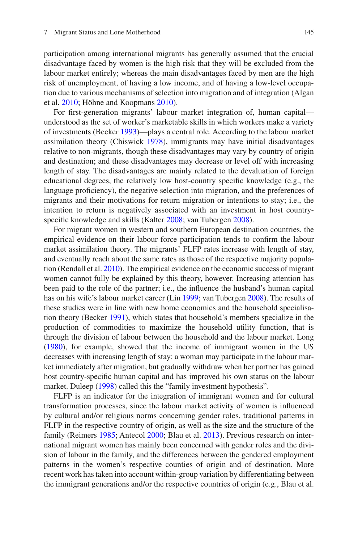participation among international migrants has generally assumed that the crucial disadvantage faced by women is the high risk that they will be excluded from the labour market entirely; whereas the main disadvantages faced by men are the high risk of unemployment, of having a low income, and of having a low-level occupation due to various mechanisms of selection into migration and of integration (Algan et al. [2010;](#page-19-5) Höhne and Koopmans [2010\)](#page-20-15).

For first-generation migrants' labour market integration of, human capital understood as the set of worker's marketable skills in which workers make a variety of investments (Becker [1993\)](#page-19-6)—plays a central role. According to the labour market assimilation theory (Chiswick [1978](#page-20-16)), immigrants may have initial disadvantages relative to non-migrants, though these disadvantages may vary by country of origin and destination; and these disadvantages may decrease or level off with increasing length of stay. The disadvantages are mainly related to the devaluation of foreign educational degrees, the relatively low host-country specific knowledge (e.g., the language proficiency), the negative selection into migration, and the preferences of migrants and their motivations for return migration or intentions to stay; i.e., the intention to return is negatively associated with an investment in host countryspecific knowledge and skills (Kalter [2008](#page-20-17); van Tubergen [2008](#page-21-11)).

For migrant women in western and southern European destination countries, the empirical evidence on their labour force participation tends to confirm the labour market assimilation theory. The migrants' FLFP rates increase with length of stay, and eventually reach about the same rates as those of the respective majority population (Rendall et al. [2010\)](#page-21-12). The empirical evidence on the economic success of migrant women cannot fully be explained by this theory, however. Increasing attention has been paid to the role of the partner; i.e., the influence the husband's human capital has on his wife's labour market career (Lin [1999;](#page-21-13) van Tubergen [2008\)](#page-21-11). The results of these studies were in line with new home economics and the household specialisation theory (Becker [1991\)](#page-19-7), which states that household's members specialize in the production of commodities to maximize the household utility function, that is through the division of labour between the household and the labour market. Long [\(1980\)](#page-21-14), for example, showed that the income of immigrant women in the US decreases with increasing length of stay: a woman may participate in the labour market immediately after migration, but gradually withdraw when her partner has gained host country-specific human capital and has improved his own status on the labour market. Duleep [\(1998](#page-20-18)) called this the "family investment hypothesis".

FLFP is an indicator for the integration of immigrant women and for cultural transformation processes, since the labour market activity of women is influenced by cultural and/or religious norms concerning gender roles, traditional patterns in FLFP in the respective country of origin, as well as the size and the structure of the family (Reimers [1985;](#page-21-15) Antecol [2000;](#page-19-8) Blau et al. [2013\)](#page-19-9). Previous research on international migrant women has mainly been concerned with gender roles and the division of labour in the family, and the differences between the gendered employment patterns in the women's respective counties of origin and of destination. More recent work has taken into account within-group variation by differentiating between the immigrant generations and/or the respective countries of origin (e.g., Blau et al.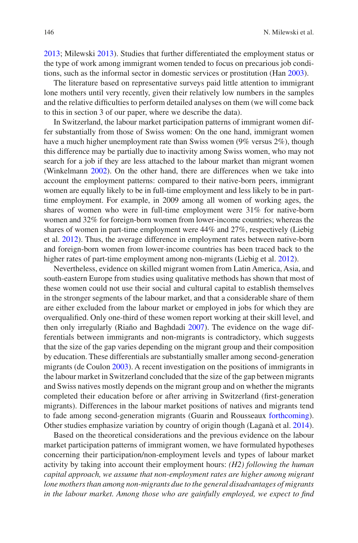[2013;](#page-19-9) Milewski [2013\)](#page-21-16). Studies that further differentiated the employment status or the type of work among immigrant women tended to focus on precarious job conditions, such as the informal sector in domestic services or prostitution (Han [2003\)](#page-20-19).

The literature based on representative surveys paid little attention to immigrant lone mothers until very recently, given their relatively low numbers in the samples and the relative difficulties to perform detailed analyses on them (we will come back to this in section 3 of our paper, where we describe the data).

In Switzerland, the labour market participation patterns of immigrant women differ substantially from those of Swiss women: On the one hand, immigrant women have a much higher unemployment rate than Swiss women (9% versus 2%), though this difference may be partially due to inactivity among Swiss women, who may not search for a job if they are less attached to the labour market than migrant women (Winkelmann [2002](#page-22-1)). On the other hand, there are differences when we take into account the employment patterns: compared to their native-born peers, immigrant women are equally likely to be in full-time employment and less likely to be in parttime employment. For example, in 2009 among all women of working ages, the shares of women who were in full-time employment were 31% for native-born women and 32% for foreign-born women from lower-income countries; whereas the shares of women in part-time employment were 44% and 27%, respectively (Liebig et al. [2012](#page-21-4)). Thus, the average difference in employment rates between native-born and foreign-born women from lower-income countries has been traced back to the higher rates of part-time employment among non-migrants (Liebig et al. [2012](#page-21-4)).

Nevertheless, evidence on skilled migrant women from Latin America, Asia, and south-eastern Europe from studies using qualitative methods has shown that most of these women could not use their social and cultural capital to establish themselves in the stronger segments of the labour market, and that a considerable share of them are either excluded from the labour market or employed in jobs for which they are overqualified. Only one-third of these women report working at their skill level, and then only irregularly (Riaño and Baghdadi [2007](#page-21-17)). The evidence on the wage differentials between immigrants and non-migrants is contradictory, which suggests that the size of the gap varies depending on the migrant group and their composition by education. These differentials are substantially smaller among second-generation migrants (de Coulon [2003\)](#page-20-20). A recent investigation on the positions of immigrants in the labour market in Switzerland concluded that the size of the gap between migrants and Swiss natives mostly depends on the migrant group and on whether the migrants completed their education before or after arriving in Switzerland (first-generation migrants). Differences in the labour market positions of natives and migrants tend to fade among second-generation migrants (Guarin and Rousseaux [forthcoming\)](#page-20-21). Other studies emphasize variation by country of origin though (Laganà et al. [2014\)](#page-20-4).

Based on the theoretical considerations and the previous evidence on the labour market participation patterns of immigrant women, we have formulated hypotheses concerning their participation/non-employment levels and types of labour market activity by taking into account their employment hours: *(H2) following the human capital approach, we assume that non-employment rates are higher among migrant lone mothers than among non-migrants due to the general disadvantages of migrants in the labour market. Among those who are gainfully employed, we expect to find*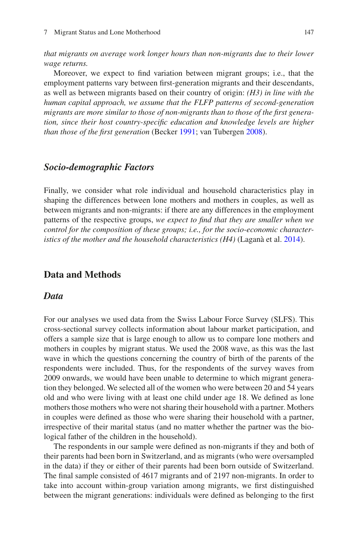*that migrants on average work longer hours than non-migrants due to their lower wage returns.*

Moreover, we expect to find variation between migrant groups; i.e., that the employment patterns vary between first-generation migrants and their descendants, as well as between migrants based on their country of origin: *(H3) in line with the human capital approach, we assume that the FLFP patterns of second-generation migrants are more similar to those of non-migrants than to those of the first generation, since their host country-specific education and knowledge levels are higher than those of the first generation* (Becker [1991](#page-19-7); van Tubergen [2008](#page-21-11)).

#### *Socio-demographic Factors*

Finally, we consider what role individual and household characteristics play in shaping the differences between lone mothers and mothers in couples, as well as between migrants and non-migrants: if there are any differences in the employment patterns of the respective groups, *we expect to find that they are smaller when we control for the composition of these groups; i.e., for the socio-economic characteristics of the mother and the household characteristics (H4)* (Laganà et al. [2014\)](#page-20-4).

## **Data and Methods**

#### *Data*

For our analyses we used data from the Swiss Labour Force Survey (SLFS). This cross-sectional survey collects information about labour market participation, and offers a sample size that is large enough to allow us to compare lone mothers and mothers in couples by migrant status. We used the 2008 wave, as this was the last wave in which the questions concerning the country of birth of the parents of the respondents were included. Thus, for the respondents of the survey waves from 2009 onwards, we would have been unable to determine to which migrant generation they belonged. We selected all of the women who were between 20 and 54 years old and who were living with at least one child under age 18. We defined as lone mothers those mothers who were not sharing their household with a partner. Mothers in couples were defined as those who were sharing their household with a partner, irrespective of their marital status (and no matter whether the partner was the biological father of the children in the household).

The respondents in our sample were defined as non-migrants if they and both of their parents had been born in Switzerland, and as migrants (who were oversampled in the data) if they or either of their parents had been born outside of Switzerland. The final sample consisted of 4617 migrants and of 2197 non-migrants. In order to take into account within-group variation among migrants, we first distinguished between the migrant generations: individuals were defined as belonging to the first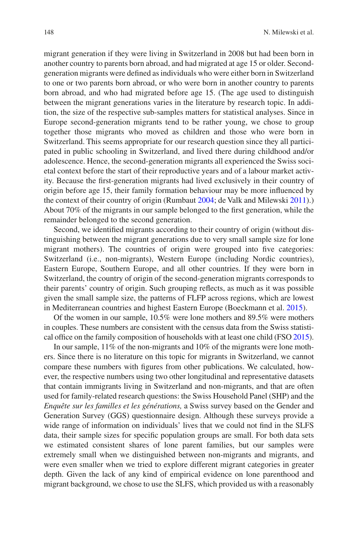migrant generation if they were living in Switzerland in 2008 but had been born in another country to parents born abroad, and had migrated at age 15 or older. Secondgeneration migrants were defined as individuals who were either born in Switzerland to one or two parents born abroad, or who were born in another country to parents born abroad, and who had migrated before age 15. (The age used to distinguish between the migrant generations varies in the literature by research topic. In addition, the size of the respective sub-samples matters for statistical analyses. Since in Europe second-generation migrants tend to be rather young, we chose to group together those migrants who moved as children and those who were born in Switzerland. This seems appropriate for our research question since they all participated in public schooling in Switzerland, and lived there during childhood and/or adolescence. Hence, the second-generation migrants all experienced the Swiss societal context before the start of their reproductive years and of a labour market activity. Because the first-generation migrants had lived exclusively in their country of origin before age 15, their family formation behaviour may be more influenced by the context of their country of origin (Rumbaut [2004;](#page-21-18) de Valk and Milewski [2011](#page-20-22)).) About 70% of the migrants in our sample belonged to the first generation, while the remainder belonged to the second generation.

Second, we identified migrants according to their country of origin (without distinguishing between the migrant generations due to very small sample size for lone migrant mothers). The countries of origin were grouped into five categories: Switzerland (i.e., non-migrants), Western Europe (including Nordic countries), Eastern Europe, Southern Europe, and all other countries. If they were born in Switzerland, the country of origin of the second-generation migrants corresponds to their parents' country of origin. Such grouping reflects, as much as it was possible given the small sample size, the patterns of FLFP across regions, which are lowest in Mediterranean countries and highest Eastern Europe (Boeckmann et al. [2015\)](#page-19-0).

Of the women in our sample, 10.5% were lone mothers and 89.5% were mothers in couples. These numbers are consistent with the census data from the Swiss statistical office on the family composition of households with at least one child (FSO [2015\)](#page-20-5).

In our sample, 11% of the non-migrants and 10% of the migrants were lone mothers. Since there is no literature on this topic for migrants in Switzerland, we cannot compare these numbers with figures from other publications. We calculated, however, the respective numbers using two other longitudinal and representative datasets that contain immigrants living in Switzerland and non-migrants, and that are often used for family-related research questions: the Swiss Household Panel (SHP) and the *Enquête sur les familles et les générations,* a Swiss survey based on the Gender and Generation Survey (GGS) questionnaire design. Although these surveys provide a wide range of information on individuals' lives that we could not find in the SLFS data, their sample sizes for specific population groups are small. For both data sets we estimated consistent shares of lone parent families, but our samples were extremely small when we distinguished between non-migrants and migrants, and were even smaller when we tried to explore different migrant categories in greater depth. Given the lack of any kind of empirical evidence on lone parenthood and migrant background, we chose to use the SLFS, which provided us with a reasonably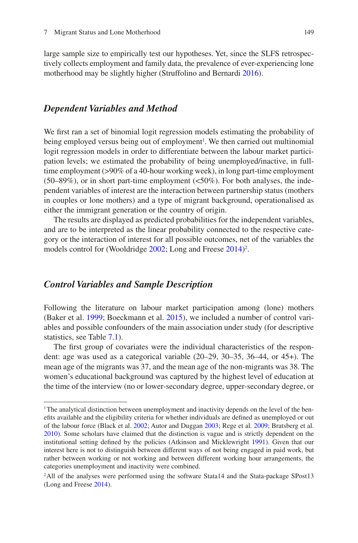large sample size to empirically test our hypotheses. Yet, since the SLFS retrospectively collects employment and family data, the prevalence of ever-experiencing lone motherhood may be slightly higher (Struffolino and Bernardi [2016\)](#page-21-7).

#### *Dependent Variables and Method*

We first ran a set of binomial logit regression models estimating the probability of being employed versus being out of employment<sup>[1](#page-8-0)</sup>. We then carried out multinomial logit regression models in order to differentiate between the labour market participation levels; we estimated the probability of being unemployed/inactive, in fulltime employment (>90% of a 40-hour working week), in long part-time employment  $(50-89%)$ , or in short part-time employment  $(<50%)$ . For both analyses, the independent variables of interest are the interaction between partnership status (mothers in couples or lone mothers) and a type of migrant background, operationalised as either the immigrant generation or the country of origin.

The results are displayed as predicted probabilities for the independent variables, and are to be interpreted as the linear probability connected to the respective category or the interaction of interest for all possible outcomes, net of the variables the models control for (Wooldridge [2002](#page-22-2); Long and Freese [2014](#page-21-19))<sup>[2](#page-8-1)</sup>.

## *Control Variables and Sample Description*

Following the literature on labour market participation among (lone) mothers (Baker et al. [1999](#page-19-10); Boeckmann et al. [2015](#page-19-0)), we included a number of control variables and possible confounders of the main association under study (for descriptive statistics, see Table [7.1](#page-9-0)).

The first group of covariates were the individual characteristics of the respondent: age was used as a categorical variable (20–29, 30–35, 36–44, or 45+). The mean age of the migrants was 37, and the mean age of the non-migrants was 38. The women's educational background was captured by the highest level of education at the time of the interview (no or lower-secondary degree, upper-secondary degree, or

<span id="page-8-0"></span><sup>&</sup>lt;sup>1</sup>The analytical distinction between unemployment and inactivity depends on the level of the benefits available and the eligibility criteria for whether individuals are defined as unemployed or out of the labour force (Black et al. [2002](#page-19-11); Autor and Duggan [2003](#page-19-12); Rege et al. [2009;](#page-21-20) Bratsberg et al. [2010\)](#page-19-13). Some scholars have claimed that the distinction is vague and is strictly dependent on the institutional setting defined by the policies (Atkinson and Micklewright [1991](#page-19-14)). Given that our interest here is not to distinguish between different ways of not being engaged in paid work, but rather between working or not working and between different working hour arrangements, the categories unemployment and inactivity were combined.

<span id="page-8-1"></span><sup>&</sup>lt;sup>2</sup>All of the analyses were performed using the software Stata14 and the Stata-package SPost13 (Long and Freese [2014](#page-21-19)).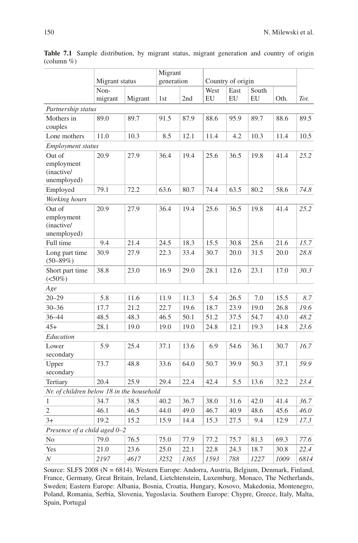|                                                   | Migrant status  |         | Migrant<br>generation |      | Country of origin |            |             |      |      |  |  |
|---------------------------------------------------|-----------------|---------|-----------------------|------|-------------------|------------|-------------|------|------|--|--|
|                                                   | Non-<br>migrant | Migrant | 1st                   | 2nd  | West<br>EU        | East<br>EU | South<br>EU | Oth. | Tot. |  |  |
| Partnership status                                |                 |         |                       |      |                   |            |             |      |      |  |  |
| Mothers in<br>couples                             | 89.0            | 89.7    | 91.5                  | 87.9 | 88.6              | 95.9       | 89.7        | 88.6 | 89.5 |  |  |
| Lone mothers                                      | 11.0            | 10.3    | 8.5                   | 12.1 | 11.4              | 4.2        | 10.3        | 11.4 | 10.5 |  |  |
| <b>Employment status</b>                          |                 |         |                       |      |                   |            |             |      |      |  |  |
| Out of<br>employment<br>(inactive/<br>unemployed) | 20.9            | 27.9    | 36.4                  | 19.4 | 25.6              | 36.5       | 19.8        | 41.4 | 25.2 |  |  |
| Employed                                          | 79.1            | 72.2    | 63.6                  | 80.7 | 74.4              | 63.5       | 80.2        | 58.6 | 74.8 |  |  |
| Working hours                                     |                 |         |                       |      |                   |            |             |      |      |  |  |
| Out of<br>employment<br>(inactive/<br>unemployed) | 20.9            | 27.9    | 36.4                  | 19.4 | 25.6              | 36.5       | 19.8        | 41.4 | 25.2 |  |  |
| Full time                                         | 9.4             | 21.4    | 24.5                  | 18.3 | 15.5              | 30.8       | 25.6        | 21.6 | 15.7 |  |  |
| Long part time<br>$(50 - 89\%)$                   | 30.9            | 27.9    | 22.3                  | 33.4 | 30.7              | 20.0       | 31.5        | 20.0 | 28.8 |  |  |
| Short part time<br>$(<50\%)$                      | 38.8            | 23.0    | 16.9                  | 29.0 | 28.1              | 12.6       | 23.1        | 17.0 | 30.3 |  |  |
| Age                                               |                 |         |                       |      |                   |            |             |      |      |  |  |
| $20 - 29$                                         | 5.8             | 11.6    | 11.9                  | 11.3 | 5.4               | 26.5       | 7.0         | 15.5 | 8.7  |  |  |
| $30 - 36$                                         | 17.7            | 21.2    | 22.7                  | 19.6 | 18.7              | 23.9       | 19.0        | 26.8 | 19.6 |  |  |
| 36-44                                             | 48.5            | 48.3    | 46.5                  | 50.1 | 51.2              | 37.5       | 54.7        | 43.0 | 48.2 |  |  |
| $45+$                                             | 28.1            | 19.0    | 19.0                  | 19.0 | 24.8              | 12.1       | 19.3        | 14.8 | 23.6 |  |  |
| Education                                         |                 |         |                       |      |                   |            |             |      |      |  |  |
| Lower<br>secondary                                | 5.9             | 25.4    | 37.1                  | 13.6 | 6.9               | 54.6       | 36.1        | 30.7 | 16.7 |  |  |
| Upper<br>secondary                                | 73.7            | 48.8    | 33.6                  | 64.0 | 50.7              | 39.9       | 50.3        | 37.1 | 59.9 |  |  |
| Tertiary                                          | 20.4            | 25.9    | 29.4                  | 22.4 | 42.4              | 5.5        | 13.6        | 32.2 | 23.4 |  |  |
| Nr. of children below 18 in the household         |                 |         |                       |      |                   |            |             |      |      |  |  |
| 1                                                 | 34.7            | 38.5    | 40.2                  | 36.7 | 38.0              | 31.6       | 42.0        | 41.4 | 36.7 |  |  |
| $\overline{c}$                                    | 46.1            | 46.5    | 44.0                  | 49.0 | 46.7              | 40.9       | 48.6        | 45.6 | 46.0 |  |  |
| $3+$                                              | 19.2            | 15.2    | 15.9                  | 14.4 | 15.3              | 27.5       | 9.4         | 12.9 | 17.3 |  |  |
| Presence of a child aged 0-2                      |                 |         |                       |      |                   |            |             |      |      |  |  |
| N <sub>0</sub>                                    | 79.0            | 76.5    | 75.0                  | 77.9 | 77.2              | 75.7       | 81.3        | 69.3 | 77.6 |  |  |
| Yes                                               | 21.0            | 23.6    | 25.0                  | 22.1 | 22.8              | 24.3       | 18.7        | 30.8 | 22.4 |  |  |
| $\boldsymbol{N}$                                  | 2197            | 4617    | 3252                  | 1365 | 1593              | 788        | 1227        | 1009 | 6814 |  |  |

<span id="page-9-0"></span>Table 7.1 Sample distribution, by migrant status, migrant generation and country of origin (column %)

Source: SLFS 2008 (N = 6814). Western Europe: Andorra, Austria, Belgium, Denmark, Finland, France, Germany, Great Britain, Ireland, Lietchtenstein, Luxemburg, Monaco, The Netherlands, Sweden; Eastern Europe: Albania, Bosnia, Croatia, Hungary, Kosovo, Makedonia, Montenegro, Poland, Romania, Serbia, Slovenia, Yugoslavia. Southern Europe: Chypre, Greece, Italy, Malta, Spain, Portugal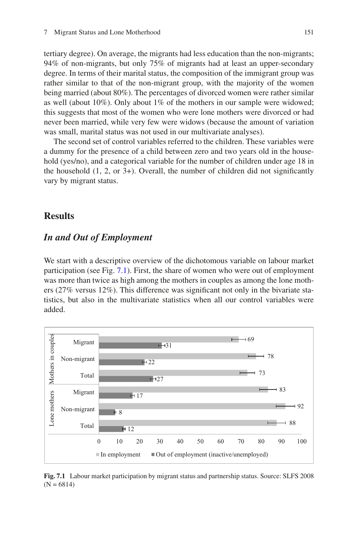tertiary degree). On average, the migrants had less education than the non-migrants; 94% of non-migrants, but only 75% of migrants had at least an upper-secondary degree. In terms of their marital status, the composition of the immigrant group was rather similar to that of the non-migrant group, with the majority of the women being married (about 80%). The percentages of divorced women were rather similar as well (about  $10\%$ ). Only about  $1\%$  of the mothers in our sample were widowed; this suggests that most of the women who were lone mothers were divorced or had never been married, while very few were widows (because the amount of variation was small, marital status was not used in our multivariate analyses).

The second set of control variables referred to the children. These variables were a dummy for the presence of a child between zero and two years old in the household (yes/no), and a categorical variable for the number of children under age 18 in the household  $(1, 2, \text{or } 3+)$ . Overall, the number of children did not significantly vary by migrant status.

#### **Results**

# *In and Out of Employment*

We start with a descriptive overview of the dichotomous variable on labour market participation (see Fig. [7.1](#page-10-0)). First, the share of women who were out of employment was more than twice as high among the mothers in couples as among the lone mothers (27% versus 12%). This difference was significant not only in the bivariate statistics, but also in the multivariate statistics when all our control variables were added.

<span id="page-10-0"></span>

**Fig. 7.1** Labour market participation by migrant status and partnership status. Source: SLFS 2008  $(N = 6814)$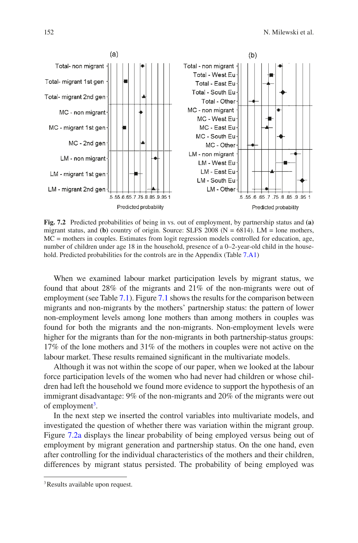<span id="page-11-1"></span>

**Fig. 7.2** Predicted probabilities of being in vs. out of employment, by partnership status and **(a)** migrant status, and **(b)** country of origin. Source: SLFS 2008 ( $N = 6814$ ). LM = lone mothers, MC = mothers in couples. Estimates from logit regression models controlled for education, age, number of children under age 18 in the household, presence of a 0–2-year-old child in the house-hold. Predicted probabilities for the controls are in the Appendix (Table [7.A1](#page-17-0))

When we examined labour market participation levels by migrant status, we found that about 28% of the migrants and 21% of the non-migrants were out of employment (see Table [7.1\)](#page-9-0). Figure [7.1](#page-10-0) shows the results for the comparison between migrants and non-migrants by the mothers' partnership status: the pattern of lower non-employment levels among lone mothers than among mothers in couples was found for both the migrants and the non-migrants. Non-employment levels were higher for the migrants than for the non-migrants in both partnership-status groups: 17% of the lone mothers and 31% of the mothers in couples were not active on the labour market. These results remained significant in the multivariate models.

Although it was not within the scope of our paper, when we looked at the labour force participation levels of the women who had never had children or whose children had left the household we found more evidence to support the hypothesis of an immigrant disadvantage: 9% of the non-migrants and 20% of the migrants were out of employment<sup>[3](#page-11-0)</sup>.

In the next step we inserted the control variables into multivariate models, and investigated the question of whether there was variation within the migrant group. Figure [7.2a](#page-11-1) displays the linear probability of being employed versus being out of employment by migrant generation and partnership status. On the one hand, even after controlling for the individual characteristics of the mothers and their children, differences by migrant status persisted. The probability of being employed was

<span id="page-11-0"></span><sup>&</sup>lt;sup>3</sup>Results available upon request.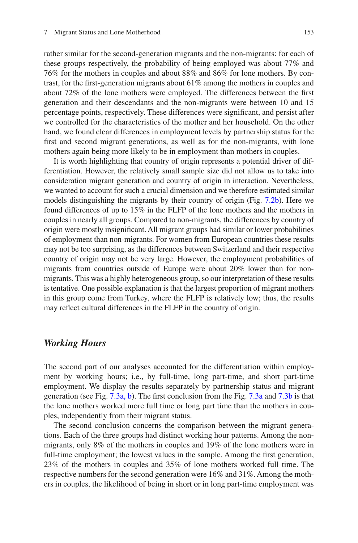rather similar for the second-generation migrants and the non-migrants: for each of these groups respectively, the probability of being employed was about 77% and 76% for the mothers in couples and about 88% and 86% for lone mothers. By contrast, for the first-generation migrants about 61% among the mothers in couples and about 72% of the lone mothers were employed. The differences between the first generation and their descendants and the non-migrants were between 10 and 15 percentage points, respectively. These differences were significant, and persist after we controlled for the characteristics of the mother and her household. On the other hand, we found clear differences in employment levels by partnership status for the first and second migrant generations, as well as for the non-migrants, with lone mothers again being more likely to be in employment than mothers in couples.

It is worth highlighting that country of origin represents a potential driver of differentiation. However, the relatively small sample size did not allow us to take into consideration migrant generation and country of origin in interaction. Nevertheless, we wanted to account for such a crucial dimension and we therefore estimated similar models distinguishing the migrants by their country of origin (Fig. [7.2b](#page-11-1)). Here we found differences of up to 15% in the FLFP of the lone mothers and the mothers in couples in nearly all groups. Compared to non-migrants, the differences by country of origin were mostly insignificant. All migrant groups had similar or lower probabilities of employment than non-migrants. For women from European countries these results may not be too surprising, as the differences between Switzerland and their respective country of origin may not be very large. However, the employment probabilities of migrants from countries outside of Europe were about 20% lower than for nonmigrants. This was a highly heterogeneous group, so our interpretation of these results is tentative. One possible explanation is that the largest proportion of migrant mothers in this group come from Turkey, where the FLFP is relatively low; thus, the results may reflect cultural differences in the FLFP in the country of origin.

#### *Working Hours*

The second part of our analyses accounted for the differentiation within employment by working hours; i.e., by full-time, long part-time, and short part-time employment. We display the results separately by partnership status and migrant generation (see Fig. [7.3a, b\)](#page-13-0). The first conclusion from the Fig. [7.3a](#page-13-0) and [7.3b](#page-13-0) is that the lone mothers worked more full time or long part time than the mothers in couples, independently from their migrant status.

The second conclusion concerns the comparison between the migrant generations. Each of the three groups had distinct working hour patterns. Among the nonmigrants, only 8% of the mothers in couples and 19% of the lone mothers were in full-time employment; the lowest values in the sample. Among the first generation, 23% of the mothers in couples and 35% of lone mothers worked full time. The respective numbers for the second generation were 16% and 31%. Among the mothers in couples, the likelihood of being in short or in long part-time employment was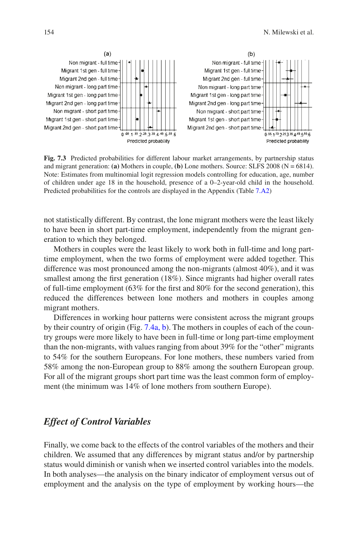<span id="page-13-0"></span>

**Fig. 7.3** Predicted probabilities for different labour market arrangements, by partnership status and migrant generation: **(a)** Mothers in couple, **(b)** Lone mothers. Source: SLFS 2008 ( $N = 6814$ ). Note: Estimates from multinomial logit regression models controlling for education, age, number of children under age 18 in the household, presence of a 0–2-year-old child in the household. Predicted probabilities for the controls are displayed in the Appendix (Table [7.A2\)](#page-18-0)

not statistically different. By contrast, the lone migrant mothers were the least likely to have been in short part-time employment, independently from the migrant generation to which they belonged.

Mothers in couples were the least likely to work both in full-time and long parttime employment, when the two forms of employment were added together. This difference was most pronounced among the non-migrants (almost 40%), and it was smallest among the first generation (18%). Since migrants had higher overall rates of full-time employment (63% for the first and 80% for the second generation), this reduced the differences between lone mothers and mothers in couples among migrant mothers.

Differences in working hour patterns were consistent across the migrant groups by their country of origin (Fig. [7.4a, b\)](#page-14-0). The mothers in couples of each of the country groups were more likely to have been in full-time or long part-time employment than the non-migrants, with values ranging from about 39% for the "other" migrants to 54% for the southern Europeans. For lone mothers, these numbers varied from 58% among the non-European group to 88% among the southern European group. For all of the migrant groups short part time was the least common form of employment (the minimum was 14% of lone mothers from southern Europe).

# *Effect of Control Variables*

Finally, we come back to the effects of the control variables of the mothers and their children. We assumed that any differences by migrant status and/or by partnership status would diminish or vanish when we inserted control variables into the models. In both analyses—the analysis on the binary indicator of employment versus out of employment and the analysis on the type of employment by working hours—the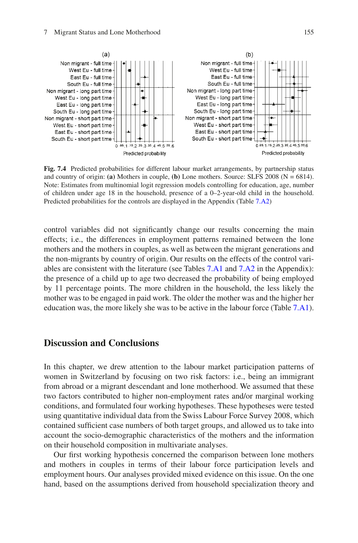<span id="page-14-0"></span>

**Fig. 7.4** Predicted probabilities for different labour market arrangements, by partnership status and country of origin: **(a)** Mothers in couple, **(b)** Lone mothers. Source: SLFS 2008 ( $N = 6814$ ). Note: Estimates from multinomial logit regression models controlling for education, age, number of children under age 18 in the household, presence of a 0–2-year-old child in the household. Predicted probabilities for the controls are displayed in the Appendix (Table [7.A2\)](#page-18-0)

control variables did not significantly change our results concerning the main effects; i.e., the differences in employment patterns remained between the lone mothers and the mothers in couples, as well as between the migrant generations and the non-migrants by country of origin. Our results on the effects of the control variables are consistent with the literature (see Tables [7.A1](#page-17-0) and [7.A2](#page-18-0) in the Appendix): the presence of a child up to age two decreased the probability of being employed by 11 percentage points. The more children in the household, the less likely the mother was to be engaged in paid work. The older the mother was and the higher her education was, the more likely she was to be active in the labour force (Table [7.A1\)](#page-17-0).

#### **Discussion and Conclusions**

In this chapter, we drew attention to the labour market participation patterns of women in Switzerland by focusing on two risk factors: i.e., being an immigrant from abroad or a migrant descendant and lone motherhood. We assumed that these two factors contributed to higher non-employment rates and/or marginal working conditions, and formulated four working hypotheses. These hypotheses were tested using quantitative individual data from the Swiss Labour Force Survey 2008, which contained sufficient case numbers of both target groups, and allowed us to take into account the socio-demographic characteristics of the mothers and the information on their household composition in multivariate analyses.

Our first working hypothesis concerned the comparison between lone mothers and mothers in couples in terms of their labour force participation levels and employment hours. Our analyses provided mixed evidence on this issue. On the one hand, based on the assumptions derived from household specialization theory and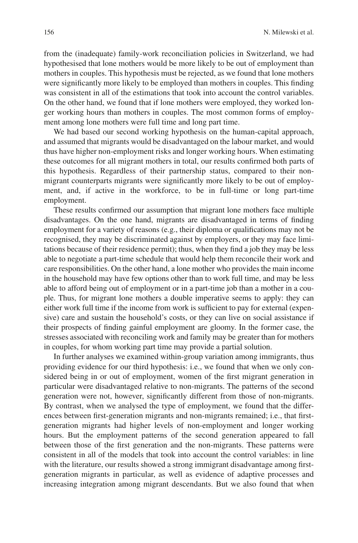from the (inadequate) family-work reconciliation policies in Switzerland, we had hypothesised that lone mothers would be more likely to be out of employment than mothers in couples. This hypothesis must be rejected, as we found that lone mothers were significantly more likely to be employed than mothers in couples. This finding was consistent in all of the estimations that took into account the control variables. On the other hand, we found that if lone mothers were employed, they worked longer working hours than mothers in couples. The most common forms of employment among lone mothers were full time and long part time.

We had based our second working hypothesis on the human-capital approach, and assumed that migrants would be disadvantaged on the labour market, and would thus have higher non-employment risks and longer working hours. When estimating these outcomes for all migrant mothers in total, our results confirmed both parts of this hypothesis. Regardless of their partnership status, compared to their nonmigrant counterparts migrants were significantly more likely to be out of employment, and, if active in the workforce, to be in full-time or long part-time employment.

These results confirmed our assumption that migrant lone mothers face multiple disadvantages. On the one hand, migrants are disadvantaged in terms of finding employment for a variety of reasons (e.g., their diploma or qualifications may not be recognised, they may be discriminated against by employers, or they may face limitations because of their residence permit); thus, when they find a job they may be less able to negotiate a part-time schedule that would help them reconcile their work and care responsibilities. On the other hand, a lone mother who provides the main income in the household may have few options other than to work full time, and may be less able to afford being out of employment or in a part-time job than a mother in a couple. Thus, for migrant lone mothers a double imperative seems to apply: they can either work full time if the income from work is sufficient to pay for external (expensive) care and sustain the household's costs, or they can live on social assistance if their prospects of finding gainful employment are gloomy. In the former case, the stresses associated with reconciling work and family may be greater than for mothers in couples, for whom working part time may provide a partial solution.

In further analyses we examined within-group variation among immigrants, thus providing evidence for our third hypothesis: i.e., we found that when we only considered being in or out of employment, women of the first migrant generation in particular were disadvantaged relative to non-migrants. The patterns of the second generation were not, however, significantly different from those of non-migrants. By contrast, when we analysed the type of employment, we found that the differences between first-generation migrants and non-migrants remained; i.e., that firstgeneration migrants had higher levels of non-employment and longer working hours. But the employment patterns of the second generation appeared to fall between those of the first generation and the non-migrants. These patterns were consistent in all of the models that took into account the control variables: in line with the literature, our results showed a strong immigrant disadvantage among firstgeneration migrants in particular, as well as evidence of adaptive processes and increasing integration among migrant descendants. But we also found that when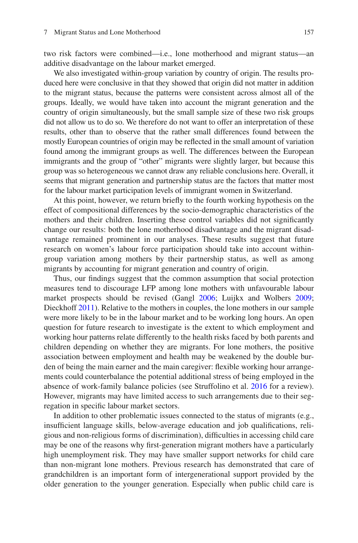two risk factors were combined—i.e., lone motherhood and migrant status—an additive disadvantage on the labour market emerged.

We also investigated within-group variation by country of origin. The results produced here were conclusive in that they showed that origin did not matter in addition to the migrant status, because the patterns were consistent across almost all of the groups. Ideally, we would have taken into account the migrant generation and the country of origin simultaneously, but the small sample size of these two risk groups did not allow us to do so. We therefore do not want to offer an interpretation of these results, other than to observe that the rather small differences found between the mostly European countries of origin may be reflected in the small amount of variation found among the immigrant groups as well. The differences between the European immigrants and the group of "other" migrants were slightly larger, but because this group was so heterogeneous we cannot draw any reliable conclusions here. Overall, it seems that migrant generation and partnership status are the factors that matter most for the labour market participation levels of immigrant women in Switzerland.

At this point, however, we return briefly to the fourth working hypothesis on the effect of compositional differences by the socio-demographic characteristics of the mothers and their children. Inserting these control variables did not significantly change our results: both the lone motherhood disadvantage and the migrant disadvantage remained prominent in our analyses. These results suggest that future research on women's labour force participation should take into account withingroup variation among mothers by their partnership status, as well as among migrants by accounting for migrant generation and country of origin.

Thus, our findings suggest that the common assumption that social protection measures tend to discourage LFP among lone mothers with unfavourable labour market prospects should be revised (Gangl [2006](#page-20-13); Luijkx and Wolbers [2009;](#page-21-10) Dieckhoff [2011](#page-20-14)). Relative to the mothers in couples, the lone mothers in our sample were more likely to be in the labour market and to be working long hours. An open question for future research to investigate is the extent to which employment and working hour patterns relate differently to the health risks faced by both parents and children depending on whether they are migrants. For lone mothers, the positive association between employment and health may be weakened by the double burden of being the main earner and the main caregiver: flexible working hour arrangements could counterbalance the potential additional stress of being employed in the absence of work-family balance policies (see Struffolino et al. [2016](#page-21-21) for a review). However, migrants may have limited access to such arrangements due to their segregation in specific labour market sectors.

In addition to other problematic issues connected to the status of migrants (e.g., insufficient language skills, below-average education and job qualifications, religious and non-religious forms of discrimination), difficulties in accessing child care may be one of the reasons why first-generation migrant mothers have a particularly high unemployment risk. They may have smaller support networks for child care than non-migrant lone mothers. Previous research has demonstrated that care of grandchildren is an important form of intergenerational support provided by the older generation to the younger generation. Especially when public child care is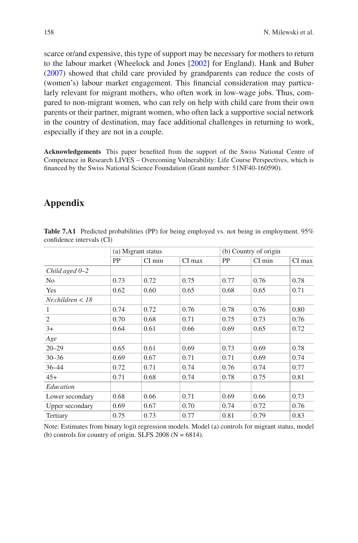scarce or/and expensive, this type of support may be necessary for mothers to return to the labour market (Wheelock and Jones [\[2002](#page-22-3)] for England). Hank and Buber [\(2007](#page-20-23)) showed that child care provided by grandparents can reduce the costs of (women's) labour market engagement. This financial consideration may particularly relevant for migrant mothers, who often work in low-wage jobs. Thus, compared to non-migrant women, who can rely on help with child care from their own parents or their partner, migrant women, who often lack a supportive social network in the country of destination, may face additional challenges in returning to work, especially if they are not in a couple.

**Acknowledgements** This paper benefited from the support of the Swiss National Centre of Competence in Research LIVES – Overcoming Vulnerability: Life Course Perspectives, which is financed by the Swiss National Science Foundation (Grant number: 51NF40-160590).

# **Appendix**

|                              |      | (a) Migrant status |        | (b) Country of origin |        |        |  |  |
|------------------------------|------|--------------------|--------|-----------------------|--------|--------|--|--|
|                              | PP   | $CI$ min           | CI max | PP                    | CI min | CI max |  |  |
| Child aged $0-2$             |      |                    |        |                       |        |        |  |  |
| N <sub>0</sub>               | 0.73 | 0.72               | 0.75   | 0.77                  | 0.76   | 0.78   |  |  |
| Yes                          | 0.62 | 0.60               | 0.65   | 0.68                  | 0.65   | 0.71   |  |  |
| $Nr.$ <i>children</i> < $18$ |      |                    |        |                       |        |        |  |  |
| 1                            | 0.74 | 0.72               | 0.76   | 0.78                  | 0.76   | 0.80   |  |  |
| 2                            | 0.70 | 0.68               | 0.71   | 0.75                  | 0.73   | 0.76   |  |  |
| $3+$                         | 0.64 | 0.61               | 0.66   | 0.69                  | 0.65   | 0.72   |  |  |
| Age                          |      |                    |        |                       |        |        |  |  |
| $20 - 29$                    | 0.65 | 0.61               | 0.69   | 0.73                  | 0.69   | 0.78   |  |  |
| $30 - 36$                    | 0.69 | 0.67               | 0.71   | 0.71                  | 0.69   | 0.74   |  |  |
| $36 - 44$                    | 0.72 | 0.71               | 0.74   | 0.76                  | 0.74   | 0.77   |  |  |
| $45+$                        | 0.71 | 0.68               | 0.74   | 0.78                  | 0.75   | 0.81   |  |  |
| Education                    |      |                    |        |                       |        |        |  |  |
| Lower secondary              | 0.68 | 0.66               | 0.71   | 0.69                  | 0.66   | 0.73   |  |  |
| Upper secondary              | 0.69 | 0.67               | 0.70   | 0.74                  | 0.72   | 0.76   |  |  |
| Tertiary                     | 0.75 | 0.73               | 0.77   | 0.81                  | 0.79   | 0.83   |  |  |

<span id="page-17-0"></span>Table 7.A1 Predicted probabilities (PP) for being employed vs. not being in employment. 95% confidence intervals (CI)

Note: Estimates from binary logit regression models. Model (a) controls for migrant status, model (b) controls for country of origin. SLFS 2008 ( $N = 6814$ ).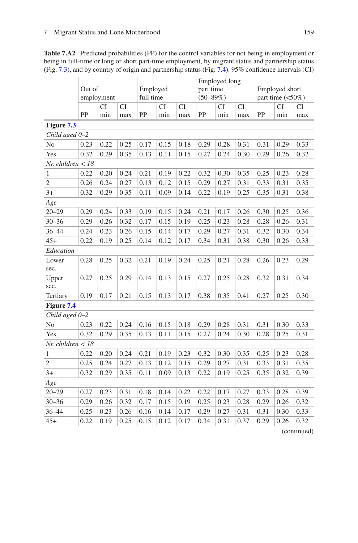<span id="page-18-0"></span>Table 7.A2 Predicted probabilities (PP) for the control variables for not being in employment or being in full-time or long or short part-time employment, by migrant status and partnership status (Fig. [7.3\)](#page-13-0), and by country of origin and partnership status (Fig. [7.4](#page-14-0)). 95% confidence intervals (CI)

|                     |            |           | Employed<br>full time |      |                  | <b>Employed</b> long<br>part time |                     |      | Employed short |                  |           |             |
|---------------------|------------|-----------|-----------------------|------|------------------|-----------------------------------|---------------------|------|----------------|------------------|-----------|-------------|
|                     | Out of     |           |                       |      |                  |                                   |                     |      |                |                  |           |             |
|                     | employment |           |                       |      |                  |                                   | $(50 - 89\%)$<br>CI |      |                | part time (<50%) |           |             |
|                     | PP         | CI<br>min | CI<br>max             | PP   | <b>CI</b><br>min | CI<br>max                         | PP                  | min  | CI<br>max      | PP               | CI<br>min | CI<br>max   |
| Figure 7.3          |            |           |                       |      |                  |                                   |                     |      |                |                  |           |             |
| Child aged 0-2      |            |           |                       |      |                  |                                   |                     |      |                |                  |           |             |
| N <sub>o</sub>      | 0.23       | 0.22      | 0.25                  | 0.17 | 0.15             | 0.18                              | 0.29                | 0.28 | 0.31           | 0.31             | 0.29      | 0.33        |
| Yes                 | 0.32       | 0.29      | 0.35                  | 0.13 | 0.11             | 0.15                              | 0.27                | 0.24 | 0.30           | 0.29             | 0.26      | 0.32        |
| Nr. children $<$ 18 |            |           |                       |      |                  |                                   |                     |      |                |                  |           |             |
| 1                   | 0.22       | 0.20      | 0.24                  | 0.21 | 0.19             | 0.22                              | 0.32                | 0.30 | 0.35           | 0.25             | 0.23      | 0.28        |
| $\overline{2}$      | 0.26       | 0.24      | 0.27                  | 0.13 | 0.12             | 0.15                              | 0.29                | 0.27 | 0.31           | 0.33             | 0.31      | 0.35        |
| $3+$                | 0.32       | 0.29      | 0.35                  | 0.11 | 0.09             | 0.14                              | 0.22                | 0.19 | 0.25           | 0.35             | 0.31      | 0.38        |
| Age                 |            |           |                       |      |                  |                                   |                     |      |                |                  |           |             |
| $20 - 29$           | 0.29       | 0.24      | 0.33                  | 0.19 | 0.15             | 0.24                              | 0.21                | 0.17 | 0.26           | 0.30             | 0.25      | 0.36        |
| $30 - 36$           | 0.29       | 0.26      | 0.32                  | 0.17 | 0.15             | 0.19                              | 0.25                | 0.23 | 0.28           | 0.28             | 0.26      | 0.31        |
| $36 - 44$           | 0.24       | 0.23      | 0.26                  | 0.15 | 0.14             | 0.17                              | 0.29                | 0.27 | 0.31           | 0.32             | 0.30      | 0.34        |
| $45+$               | 0.22       | 0.19      | 0.25                  | 0.14 | 0.12             | 0.17                              | 0.34                | 0.31 | 0.38           | 0.30             | 0.26      | 0.33        |
| Education           |            |           |                       |      |                  |                                   |                     |      |                |                  |           |             |
| Lower               | 0.28       | 0.25      | 0.32                  | 0.21 | 0.19             | 0.24                              | 0.25                | 0.21 | 0.28           | 0.26             | 0.23      | 0.29        |
| sec.                |            |           |                       |      |                  |                                   |                     |      |                |                  |           |             |
| Upper<br>sec.       | 0.27       | 0.25      | 0.29                  | 0.14 | 0.13             | 0.15                              | 0.27                | 0.25 | 0.28           | 0.32             | 0.31      | 0.34        |
| Tertiary            | 0.19       | 0.17      | 0.21                  | 0.15 | 0.13             | 0.17                              | 0.38                | 0.35 | 0.41           | 0.27             | 0.25      | 0.30        |
| Figure 7.4          |            |           |                       |      |                  |                                   |                     |      |                |                  |           |             |
| Child aged 0-2      |            |           |                       |      |                  |                                   |                     |      |                |                  |           |             |
| No                  | 0.23       | 0.22      | 0.24                  | 0.16 | 0.15             | 0.18                              | 0.29                | 0.28 | 0.31           | 0.31             | 0.30      | 0.33        |
| Yes                 | 0.32       | 0.29      | 0.35                  | 0.13 | 0.11             | 0.15                              | 0.27                | 0.24 | 0.30           | 0.28             | 0.25      | 0.31        |
| Nr. children < 18   |            |           |                       |      |                  |                                   |                     |      |                |                  |           |             |
| 1                   | 0.22       | 0.20      | 0.24                  | 0.21 | 0.19             | 0.23                              | 0.32                | 0.30 | 0.35           | 0.25             | 0.23      | 0.28        |
| 2                   | 0.25       | 0.24      | 0.27                  | 0.13 | 0.12             | 0.15                              | 0.29                | 0.27 | 0.31           | 0.33             | 0.31      | 0.35        |
| $3+$                | 0.32       | 0.29      | 0.35                  | 0.11 | 0.09             | 0.13                              | 0.22                | 0.19 | 0.25           | 0.35             | 0.32      | 0.39        |
| Age                 |            |           |                       |      |                  |                                   |                     |      |                |                  |           |             |
| $20 - 29$           | 0.27       | 0.23      | 0.31                  | 0.18 | 0.14             | 0.22                              | 0.22                | 0.17 | 0.27           | 0.33             | 0.28      | 0.39        |
| $30 - 36$           | 0.29       | 0.26      | 0.32                  | 0.17 | 0.15             | 0.19                              | 0.25                | 0.23 | 0.28           | 0.29             | 0.26      | 0.32        |
| $36 - 44$           | 0.25       | 0.23      | 0.26                  | 0.16 | 0.14             | 0.17                              | 0.29                | 0.27 | 0.31           | 0.31             | 0.30      | 0.33        |
| $45+$               | 0.22       | 0.19      | 0.25                  | 0.15 | 0.12             | 0.17                              | 0.34                | 0.31 | 0.37           | 0.29             | 0.26      | 0.32        |
|                     |            |           |                       |      |                  |                                   |                     |      |                |                  |           | (continued) |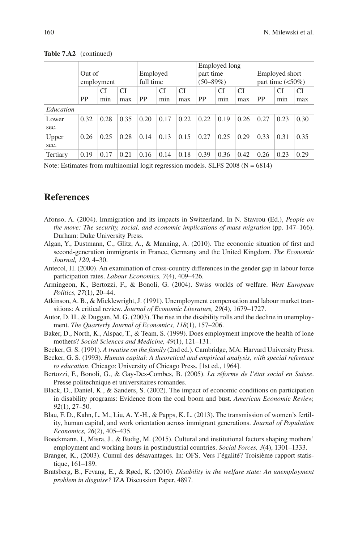|           |            |           |      |                       |           |           | Employed long              |      |           |                                                     |      |           |
|-----------|------------|-----------|------|-----------------------|-----------|-----------|----------------------------|------|-----------|-----------------------------------------------------|------|-----------|
|           | Out of     |           |      | Employed<br>full time |           |           | part time<br>$(50 - 89\%)$ |      |           | Employed short<br>part time $\left( < 50\% \right)$ |      |           |
|           | employment |           |      |                       |           |           |                            |      |           |                                                     |      |           |
|           |            | <b>CI</b> | СI   |                       | <b>CI</b> | <b>CI</b> |                            | CI   | <b>CI</b> |                                                     | CI   | <b>CI</b> |
|           | PP         | min       | max  | PP                    | min       | max       | РP                         | min  | max       | PP                                                  | min  | max       |
| Education |            |           |      |                       |           |           |                            |      |           |                                                     |      |           |
| Lower     | 0.32       | 0.28      | 0.35 | 0.20                  | 0.17      | 0.22      | 0.22                       | 0.19 | 0.26      | 0.27                                                | 0.23 | 0.30      |
| sec.      |            |           |      |                       |           |           |                            |      |           |                                                     |      |           |
| Upper     | 0.26       | 0.25      | 0.28 | 0.14                  | 0.13      | 0.15      | 0.27                       | 0.25 | 0.29      | 0.33                                                | 0.31 | 0.35      |
| sec.      |            |           |      |                       |           |           |                            |      |           |                                                     |      |           |
| Tertiary  | 0.19       | 0.17      | 0.21 | 0.16                  | 0.14      | 0.18      | 0.39                       | 0.36 | 0.42      | 0.26                                                | 0.23 | 0.29      |

**Table 7.A2** (continued)

Note: Estimates from multinomial logit regression models. SLFS 2008 ( $N = 6814$ )

# **References**

- <span id="page-19-1"></span>Afonso, A. (2004). Immigration and its impacts in Switzerland. In N. Stavrou (Ed.), *People on the move: The security, social, and economic implications of mass migration* (pp. 147–166). Durham: Duke University Press.
- <span id="page-19-5"></span>Algan, Y., Dustmann, C., Glitz, A., & Manning, A. (2010). The economic situation of first and second-generation immigrants in France, Germany and the United Kingdom. *The Economic Journal, 120*, 4–30.
- <span id="page-19-8"></span>Antecol, H. (2000). An examination of cross-country differences in the gender gap in labour force participation rates. *Labour Economics, 7*(4), 409–426.
- <span id="page-19-4"></span>Armingeon, K., Bertozzi, F., & Bonoli, G. (2004). Swiss worlds of welfare. *West European Politics, 27*(1), 20–44.
- <span id="page-19-14"></span>Atkinson, A. B., & Micklewright, J. (1991). Unemployment compensation and labour market transitions: A critical review. *Journal of Economic Literature, 29*(4), 1679–1727.
- <span id="page-19-12"></span>Autor, D. H., & Duggan, M. G. (2003). The rise in the disability rolls and the decline in unemployment. *The Quarterly Journal of Economics, 118*(1), 157–206.
- <span id="page-19-10"></span>Baker, D., North, K., Alspac, T., & Team, S. (1999). Does employment improve the health of lone mothers? *Social Sciences and Medicine, 49*(1), 121–131.
- <span id="page-19-7"></span>Becker, G. S. (1991). *A treatise on the family* (2nd ed.). Cambridge, MA: Harvard University Press.
- <span id="page-19-6"></span>Becker, G. S. (1993). *Human capital: A theoretical and empirical analysis, with special reference to education*. Chicago: University of Chicago Press. [1st ed., 1964].
- <span id="page-19-3"></span>Bertozzi, F., Bonoli, G., & Gay-Des-Combes, B. (2005). *La réforme de l'état social en Suisse*. Presse politechnique et universitaires romandes.
- <span id="page-19-11"></span>Black, D., Daniel, K., & Sanders, S. (2002). The impact of economic conditions on participation in disability programs: Evidence from the coal boom and bust. *American Economic Review, 92*(1), 27–50.
- <span id="page-19-9"></span>Blau, F. D., Kahn, L. M., Liu, A. Y.-H., & Papps, K. L. (2013). The transmission of women's fertility, human capital, and work orientation across immigrant generations. *Journal of Population Economics, 26*(2), 405–435.
- <span id="page-19-0"></span>Boeckmann, I., Misra, J., & Budig, M. (2015). Cultural and institutional factors shaping mothers' employment and working hours in postindustrial countries. *Social Forces, 3*(4), 1301–1333.
- <span id="page-19-2"></span>Branger, K., (2003). Cumul des désavantages. In: OFS. Vers l'égalité? Troisième rapport statistique, 161–189.
- <span id="page-19-13"></span>Bratsberg, B., Fevang, E., & Røed, K. (2010). *Disability in the welfare state: An unemployment problem in disguise?* IZA Discussion Paper, 4897.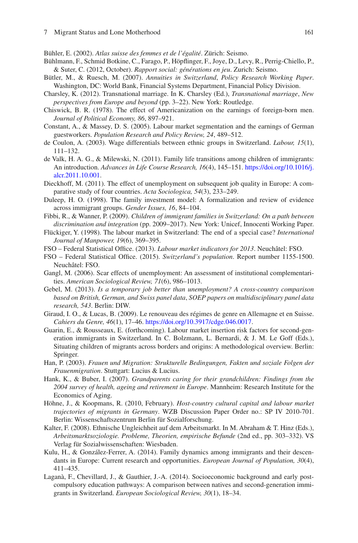<span id="page-20-8"></span>Bühler, E. (2002). *Atlas suisse des femmes et de l'égalité*. Zürich: Seismo.

- <span id="page-20-6"></span>Bühlmann, F., Schmid Botkine, C., Farago, P., Höpflinger, F., Joye, D., Levy, R., Perrig-Chiello, P., & Suter, C. (2012, October). *Rapport social: générations en jeu*. Zurich: Seismo.
- <span id="page-20-11"></span>Bütler, M., & Ruesch, M. (2007). *Annuities in Switzerland*, *Policy Research Working Paper*. Washington, DC: World Bank, Financial Systems Department, Financial Policy Division.
- <span id="page-20-1"></span>Charsley, K. (2012). Transnational marriage. In K. Charsley (Ed.), *Transnational marriage*, *New perspectives from Europe and beyond* (pp. 3–22). New York: Routledge.
- <span id="page-20-16"></span>Chiswick, B. R. (1978). The effect of Americanization on the earnings of foreign-born men. *Journal of Political Economy, 86*, 897–921.
- <span id="page-20-0"></span>Constant, A., & Massey, D. S. (2005). Labour market segmentation and the earnings of German guestworkers. *Population Research and Policy Review, 24*, 489–512.
- <span id="page-20-20"></span>de Coulon, A. (2003). Wage differentials between ethnic groups in Switzerland. *Labour, 15*(1), 111–132.
- <span id="page-20-22"></span>de Valk, H. A. G., & Milewski, N. (2011). Family life transitions among children of immigrants: An introduction. *Advances in Life Course Research, 16*(4), 145–151. [https://doi.org/10.1016/j.](https://doi.org/10.1016/j.alcr.2011.10.001) [alcr.2011.10.001.](https://doi.org/10.1016/j.alcr.2011.10.001)
- <span id="page-20-14"></span>Dieckhoff, M. (2011). The effect of unemployment on subsequent job quality in Europe: A comparative study of four countries. *Acta Sociologica, 54*(3), 233–249.
- <span id="page-20-18"></span>Duleep, H. O. (1998). The family investment model: A formalization and review of evidence across immigrant groups. *Gender Issues, 16*, 84–104.
- <span id="page-20-3"></span>Fibbi, R., & Wanner, P. (2009). *Children of immigrant families in Switzerland: On a path between discrimination and integration* (pp. 2009–2017). New York: Unicef, Innocenti Working Paper.
- <span id="page-20-9"></span>Flückiger, Y. (1998). The labour market in Switzerland: The end of a special case? *International Journal of Manpower, 19*(6), 369–395.
- <span id="page-20-7"></span>FSO – Federal Statistical Office. (2013). *Labour market indicators for 2013*. Neuchâtel: FSO.
- <span id="page-20-5"></span>FSO – Federal Statistical Office. (2015). *Switzerland's population*. Report number 1155-1500. Neuchâtel: FSO.
- <span id="page-20-13"></span>Gangl, M. (2006). Scar effects of unemployment: An assessment of institutional complementarities. *American Sociological Review, 71*(6), 986–1013.
- <span id="page-20-10"></span>Gebel, M. (2013). *Is a temporary job better than unemployment? A cross-country comparison based on British, German, and Swiss panel data*, *SOEP papers on multidisciplinary panel data research, 543*. Berlin: DIW.
- <span id="page-20-12"></span>Giraud, I. O., & Lucas, B. (2009). Le renouveau des régimes de genre en Allemagne et en Suisse. *Cahiers du Genre, 46*(1), 17–46. [https://doi.org/10.3917/cdge.046.0017.](https://doi.org/10.3917/cdge.046.0017)
- <span id="page-20-21"></span>Guarin, E., & Rousseaux, E. (forthcoming). Labour market insertion risk factors for second-generation immigrants in Switzerland. In C. Bolzmann, L. Bernardi, & J. M. Le Goff (Eds.), Situating children of migrants across borders and origins: A methodological overview. Berlin: Springer.
- <span id="page-20-19"></span>Han, P. (2003). *Frauen und Migration: Strukturelle Bedingungen, Fakten und soziale Folgen der Frauenmigration*. Stuttgart: Lucius & Lucius.
- <span id="page-20-23"></span>Hank, K., & Buber, I. (2007). *Grandparents caring for their grandchildren: Findings from the 2004 survey of health, ageing and retirement in Europe*. Mannheim: Research Institute for the Economics of Aging.
- <span id="page-20-15"></span>Höhne, J., & Koopmans, R. (2010, February). *Host-country cultural capital and labour market trajectories of migrants in Germany*. WZB Discussion Paper Order no.: SP IV 2010-701. Berlin: Wissenschaftszentrum Berlin für Sozialforschung.
- <span id="page-20-17"></span>Kalter, F. (2008). Ethnische Ungleichheit auf dem Arbeitsmarkt. In M. Abraham & T. Hinz (Eds.), *Arbeitsmarktsoziologie. Probleme, Theorien, empirische Befunde* (2nd ed., pp. 303–332). VS Verlag für Sozialwissenschaften: Wiesbaden.
- <span id="page-20-2"></span>Kulu, H., & González-Ferrer, A. (2014). Family dynamics among immigrants and their descendants in Europe: Current research and opportunities. *European Journal of Population, 30*(4), 411–435.
- <span id="page-20-4"></span>Laganà, F., Chevillard, J., & Gauthier, J.-A. (2014). Socioeconomic background and early postcompulsory education pathways: A comparison between natives and second-generation immigrants in Switzerland. *European Sociological Review, 30*(1), 18–34.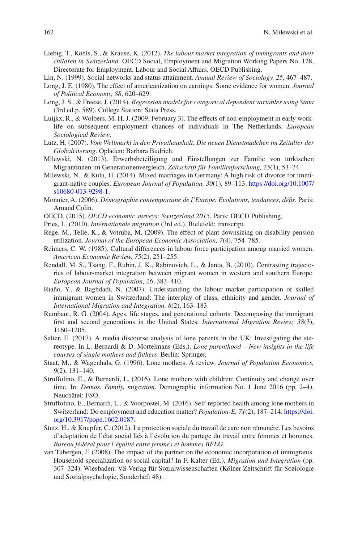- <span id="page-21-4"></span>Liebig, T., Kohls, S., & Krause, K. (2012). *The labour market integration of immigrants and their children in Switzerland*. OECD Social, Employment and Migration Working Papers No. 128, Directorate for Employment, Labour and Social Affairs, OECD Publishing.
- <span id="page-21-13"></span>Lin, N. (1999). Social networks and status attainment. *Annual Review of Sociology, 25*, 467–487.
- <span id="page-21-14"></span>Long, J. E. (1980). The effect of americanization on earnings: Some evidence for women. *Journal of Political Economy, 88*, 620–629.
- <span id="page-21-19"></span>Long, J. S., & Freese, J. (2014). *Regression models for categorical dependent variables using Stata* (3rd ed.p. 589). College Station: Stata Press.
- <span id="page-21-10"></span>Luijkx, R., & Wolbers, M. H. J. (2009, February 3). The effects of non-employment in early worklife on subsequent employment chances of individuals in The Netherlands. *European Sociological Review*.
- <span id="page-21-0"></span>Lutz, H. (2007). *Vom Weltmarkt in den Privathaushalt. Die neuen Dienstmädchen im Zeitalter der Globalisierung*. Opladen: Barbara Budrich.
- <span id="page-21-16"></span>Milewski, N. (2013). Erwerbsbeteiligung und Einstellungen zur Familie von türkischen Migrantinnen im Generationenvergleich. *Zeitschrift für Familienforschung, 25*(1), 53–74.
- <span id="page-21-2"></span>Milewski, N., & Kulu, H. (2014). Mixed marriages in Germany: A high risk of divorce for immigrant-native couples. *European Journal of Population, 30*(1), 89–113. [https://doi.org/10.1007/](https://doi.org/10.1007/s10680-013-9298-1) [s10680-013-9298-1.](https://doi.org/10.1007/s10680-013-9298-1)
- <span id="page-21-8"></span>Monnier, A. (2006). *Démographie contemporaine de l'Europe. Evolutions, tendances, défis*. Paris: Arnand Colin.
- <span id="page-21-5"></span>OECD. (2015). *OECD economic surveys: Switzerland 2015*. Paris: OECD Publishing.
- <span id="page-21-1"></span>Pries, L. (2010). *Internationale migration* (3rd ed.). Bielefeld: transcript.
- <span id="page-21-20"></span>Rege, M., Telle, K., & Votruba, M. (2009). The effect of plant downsizing on disability pension utilization. *Journal of the European Economic Association, 7*(4), 754–785.
- <span id="page-21-15"></span>Reimers, C. W. (1985). Cultural differences in labour force participation among married women. *American Economic Review, 75*(2), 251–255.
- <span id="page-21-12"></span>Rendall, M. S., Tsang, F., Rubin, J. K., Rabinovich, L., & Janta, B. (2010). Contrasting trajectories of labour-market integration between migrant women in western and southern Europe. *European Journal of Population, 26*, 383–410.
- <span id="page-21-17"></span>Riaño, Y., & Baghdadi, N. (2007). Understanding the labour market participation of skilled immigrant women in Switzerland: The interplay of class, ethnicity and gender. *Journal of International Migration and Integration, 8*(2), 163–183.
- <span id="page-21-18"></span>Rumbaut, R. G. (2004). Ages, life stages, and generational cohorts: Decomposing the immigrant first and second generations in the United States. *International Migration Review, 38*(3), 1160–1205.
- <span id="page-21-6"></span>Salter, E. (2017). A media discourse analysis of lone parents in the UK: Investigating the stereotype. In L. Bernardi & D. Mortelmans (Eds.), *Lone parenthood – New insights in the life courses of single mothers and fathers*. Berlin: Springer.
- <span id="page-21-3"></span>Staat, M., & Wagenhals, G. (1996). Lone mothers: A review. *Journal of Population Economics, 9*(2), 131–140.
- <span id="page-21-7"></span>Struffolino, E., & Bernardi, L. (2016). Lone mothers with children: Continuity and change over time. In: *Demos. Family, migration*. Demographic information No. 1 June 2016 (pp. 2–4). Neuchâtel: FSO.
- <span id="page-21-21"></span>Struffolino, E., Bernardi, L., & Voorpostel, M. (2016). Self-reported health among lone mothers in Switzerland: Do employment and education matter? *Population-E, 71*(2), 187–214. [https://doi.](https://doi.org/10.3917/pope.1602.0187) [org/10.3917/pope.1602.0187](https://doi.org/10.3917/pope.1602.0187).
- <span id="page-21-9"></span>Stutz, H., & Knupfer, C. (2012). La protection sociale du travail de care non rémunéré. Les besoins d'adaptation de l'état social liés à l'évolution du partage du travail entre femmes et hommes. *Bureau fédéral pour l'égalité entre femmes et hommes BFEG*.
- <span id="page-21-11"></span>van Tubergen, F. (2008). The impact of the partner on the economic incorporation of immigrants. Household specialization or social capital? In F. Kalter (Ed.), *Migration und Integration* (pp. 307–324). Wiesbaden: VS Verlag für Sozialwissenschaften (Kölner Zeitschrift für Soziologie und Sozialpsychologie, Sonderheft 48).